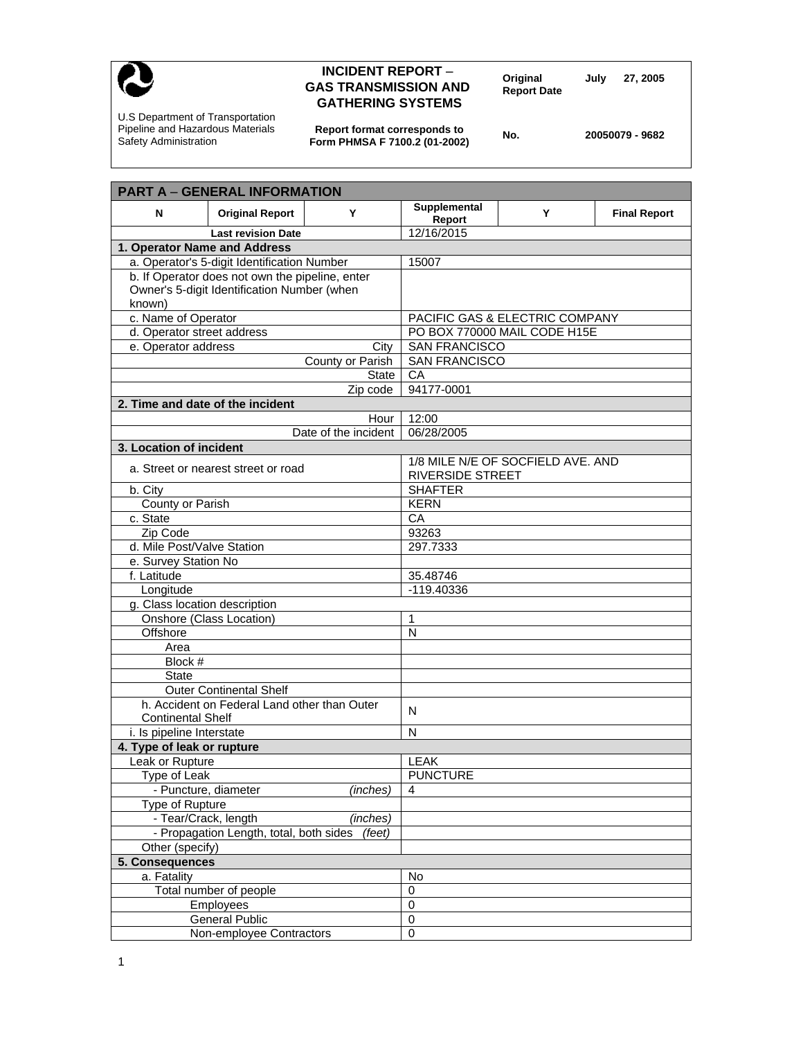

## **INCIDENT REPORT – Soriginal July 27, 2005**<br> **GAS TRANSMISSION AND Report Date July 27, 2005 GATHERING SYSTEMS**

U.S Department of Transportation Pipeline and Hazardous Materials Safety Administration

**Report format corresponds to Form PHMSA F 7100.2 (01-2002) No. 20050079 - 9682** 

| <b>PART A - GENERAL INFORMATION</b>               |                                              |                      |                        |                                   |                     |  |  |
|---------------------------------------------------|----------------------------------------------|----------------------|------------------------|-----------------------------------|---------------------|--|--|
| N                                                 | <b>Original Report</b>                       | Υ                    | Supplemental<br>Report | Y                                 | <b>Final Report</b> |  |  |
|                                                   | <b>Last revision Date</b>                    |                      | 12/16/2015             |                                   |                     |  |  |
|                                                   | 1. Operator Name and Address                 |                      |                        |                                   |                     |  |  |
|                                                   | a. Operator's 5-digit Identification Number  |                      | 15007                  |                                   |                     |  |  |
| b. If Operator does not own the pipeline, enter   |                                              |                      |                        |                                   |                     |  |  |
| Owner's 5-digit Identification Number (when       |                                              |                      |                        |                                   |                     |  |  |
| known)                                            |                                              |                      |                        |                                   |                     |  |  |
| c. Name of Operator                               |                                              |                      |                        | PACIFIC GAS & ELECTRIC COMPANY    |                     |  |  |
| d. Operator street address                        |                                              |                      |                        | PO BOX 770000 MAIL CODE H15E      |                     |  |  |
| e. Operator address<br>City                       |                                              |                      | <b>SAN FRANCISCO</b>   |                                   |                     |  |  |
| County or Parish                                  |                                              |                      | <b>SAN FRANCISCO</b>   |                                   |                     |  |  |
| State                                             |                                              |                      | CA                     |                                   |                     |  |  |
| Zip code                                          |                                              |                      | 94177-0001             |                                   |                     |  |  |
|                                                   | 2. Time and date of the incident             |                      |                        |                                   |                     |  |  |
| Hour                                              |                                              |                      | 12:00                  |                                   |                     |  |  |
|                                                   |                                              | Date of the incident | 06/28/2005             |                                   |                     |  |  |
| 3. Location of incident                           |                                              |                      |                        |                                   |                     |  |  |
|                                                   | a. Street or nearest street or road          |                      |                        | 1/8 MILE N/E OF SOCFIELD AVE. AND |                     |  |  |
|                                                   |                                              |                      | RIVERSIDE STREET       |                                   |                     |  |  |
| b. City                                           |                                              |                      | <b>SHAFTER</b>         |                                   |                     |  |  |
| <b>County or Parish</b>                           |                                              |                      | <b>KERN</b>            |                                   |                     |  |  |
| c. State                                          |                                              |                      | CA                     |                                   |                     |  |  |
| Zip Code                                          |                                              |                      | 93263                  |                                   |                     |  |  |
| d. Mile Post/Valve Station                        |                                              |                      | 297.7333               |                                   |                     |  |  |
| e. Survey Station No                              |                                              |                      |                        |                                   |                     |  |  |
| f. Latitude                                       |                                              |                      | 35.48746               |                                   |                     |  |  |
| Longitude                                         |                                              |                      | -119.40336             |                                   |                     |  |  |
| g. Class location description                     |                                              |                      |                        |                                   |                     |  |  |
|                                                   | Onshore (Class Location)                     |                      | 1                      |                                   |                     |  |  |
| Offshore                                          |                                              |                      | N                      |                                   |                     |  |  |
| Area                                              |                                              |                      |                        |                                   |                     |  |  |
| Block #                                           |                                              |                      |                        |                                   |                     |  |  |
| <b>State</b>                                      |                                              |                      |                        |                                   |                     |  |  |
|                                                   | <b>Outer Continental Shelf</b>               |                      |                        |                                   |                     |  |  |
|                                                   | h. Accident on Federal Land other than Outer |                      | N                      |                                   |                     |  |  |
| <b>Continental Shelf</b>                          |                                              |                      |                        |                                   |                     |  |  |
| i. Is pipeline Interstate                         |                                              |                      | N                      |                                   |                     |  |  |
| 4. Type of leak or rupture                        |                                              |                      |                        |                                   |                     |  |  |
| Leak or Rupture                                   |                                              |                      | <b>LEAK</b>            |                                   |                     |  |  |
| Type of Leak                                      |                                              |                      | <b>PUNCTURE</b>        |                                   |                     |  |  |
|                                                   | - Puncture, diameter                         | (inches)             | $\overline{4}$         |                                   |                     |  |  |
| <b>Type of Rupture</b>                            |                                              |                      |                        |                                   |                     |  |  |
| - Tear/Crack, length<br>(inches)                  |                                              |                      |                        |                                   |                     |  |  |
| - Propagation Length, total, both sides<br>(feet) |                                              |                      |                        |                                   |                     |  |  |
| Other (specify)                                   |                                              |                      |                        |                                   |                     |  |  |
|                                                   | 5. Consequences                              |                      |                        |                                   |                     |  |  |
| a. Fatality                                       |                                              |                      | No                     |                                   |                     |  |  |
| Total number of people                            |                                              |                      | 0                      |                                   |                     |  |  |
| Employees                                         |                                              |                      | $\mathbf 0$            |                                   |                     |  |  |
| <b>General Public</b>                             |                                              |                      | $\mathbf 0$            |                                   |                     |  |  |
| Non-employee Contractors                          |                                              |                      | $\mathbf 0$            |                                   |                     |  |  |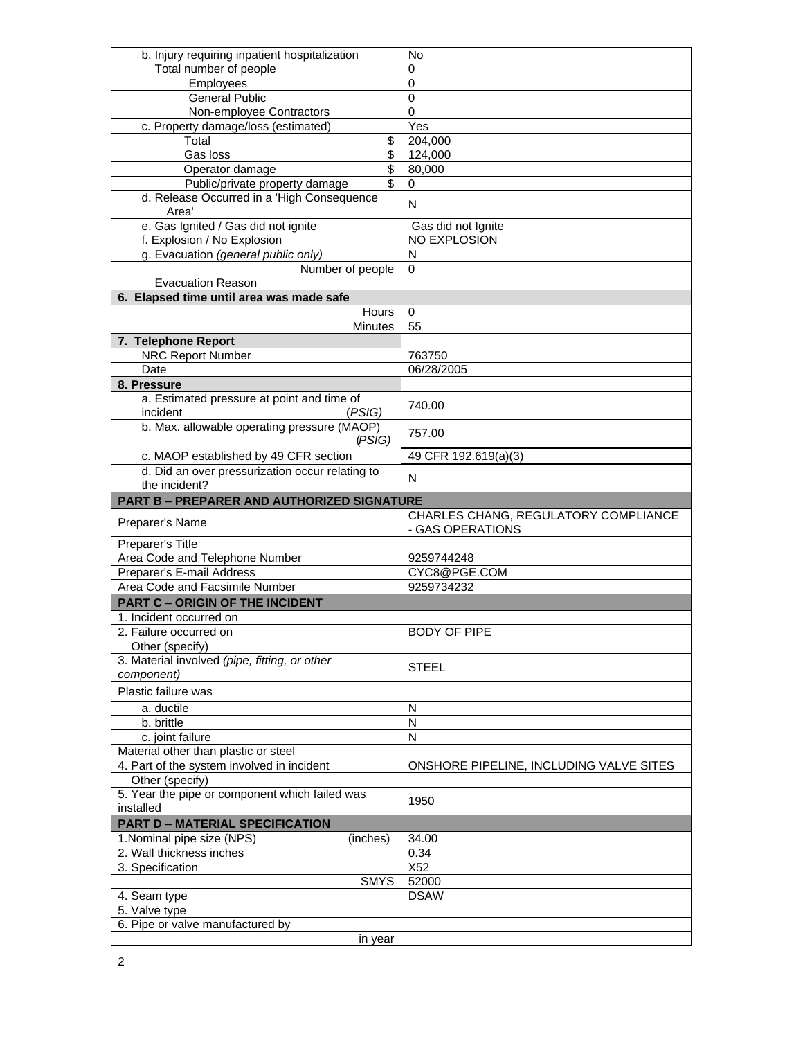| b. Injury requiring inpatient hospitalization               | No                                      |  |
|-------------------------------------------------------------|-----------------------------------------|--|
| Total number of people                                      | $\mathbf 0$                             |  |
| Employees                                                   | $\mathbf 0$                             |  |
| <b>General Public</b>                                       | 0                                       |  |
| Non-employee Contractors                                    | $\mathbf 0$                             |  |
| c. Property damage/loss (estimated)                         | Yes                                     |  |
| \$<br>Total                                                 | 204,000                                 |  |
| \$<br>Gas loss                                              | 124,000                                 |  |
| \$<br>Operator damage                                       | 80,000                                  |  |
| \$<br>Public/private property damage                        | 0                                       |  |
| d. Release Occurred in a 'High Consequence<br>Area'         | N                                       |  |
| e. Gas Ignited / Gas did not ignite                         | Gas did not Ignite                      |  |
| f. Explosion / No Explosion                                 | NO EXPLOSION                            |  |
| g. Evacuation (general public only)                         | N                                       |  |
| Number of people                                            | 0                                       |  |
| <b>Evacuation Reason</b>                                    |                                         |  |
| 6. Elapsed time until area was made safe                    |                                         |  |
| Hours                                                       | $\Omega$                                |  |
| <b>Minutes</b>                                              | 55                                      |  |
| 7. Telephone Report                                         |                                         |  |
| <b>NRC Report Number</b>                                    | 763750                                  |  |
| Date                                                        | 06/28/2005                              |  |
| 8. Pressure                                                 |                                         |  |
| a. Estimated pressure at point and time of                  |                                         |  |
| (PSIG)<br>incident                                          | 740.00                                  |  |
| b. Max. allowable operating pressure (MAOP)<br>(PSIG)       | 757.00                                  |  |
| c. MAOP established by 49 CFR section                       | 49 CFR 192.619(a)(3)                    |  |
| d. Did an over pressurization occur relating to             |                                         |  |
| the incident?                                               | N                                       |  |
| <b>PART B - PREPARER AND AUTHORIZED SIGNATURE</b>           |                                         |  |
| Preparer's Name                                             | CHARLES CHANG, REGULATORY COMPLIANCE    |  |
|                                                             | - GAS OPERATIONS                        |  |
| Preparer's Title                                            |                                         |  |
| Area Code and Telephone Number                              | 9259744248                              |  |
| Preparer's E-mail Address                                   | CYC8@PGE.COM                            |  |
| Area Code and Facsimile Number                              | 9259734232                              |  |
| <b>PART C - ORIGIN OF THE INCIDENT</b>                      |                                         |  |
| 1. Incident occurred on                                     |                                         |  |
| 2. Failure occurred on                                      | <b>BODY OF PIPE</b>                     |  |
| Other (specify)                                             |                                         |  |
| 3. Material involved (pipe, fitting, or other               |                                         |  |
| component)                                                  | <b>STEEL</b>                            |  |
| Plastic failure was                                         |                                         |  |
|                                                             |                                         |  |
| a. ductile                                                  | N                                       |  |
| b. brittle                                                  | N                                       |  |
| c. joint failure                                            | N                                       |  |
| Material other than plastic or steel                        |                                         |  |
| 4. Part of the system involved in incident                  | ONSHORE PIPELINE, INCLUDING VALVE SITES |  |
| Other (specify)                                             |                                         |  |
| 5. Year the pipe or component which failed was<br>installed | 1950                                    |  |
|                                                             |                                         |  |
| <b>PART D - MATERIAL SPECIFICATION</b>                      |                                         |  |
| 1. Nominal pipe size (NPS)<br>(inches)                      | 34.00                                   |  |
| 2. Wall thickness inches                                    | 0.34                                    |  |
| 3. Specification                                            | X52                                     |  |
| <b>SMYS</b>                                                 | 52000                                   |  |
| 4. Seam type                                                | <b>DSAW</b>                             |  |
| 5. Valve type                                               |                                         |  |
| 6. Pipe or valve manufactured by<br>in year                 |                                         |  |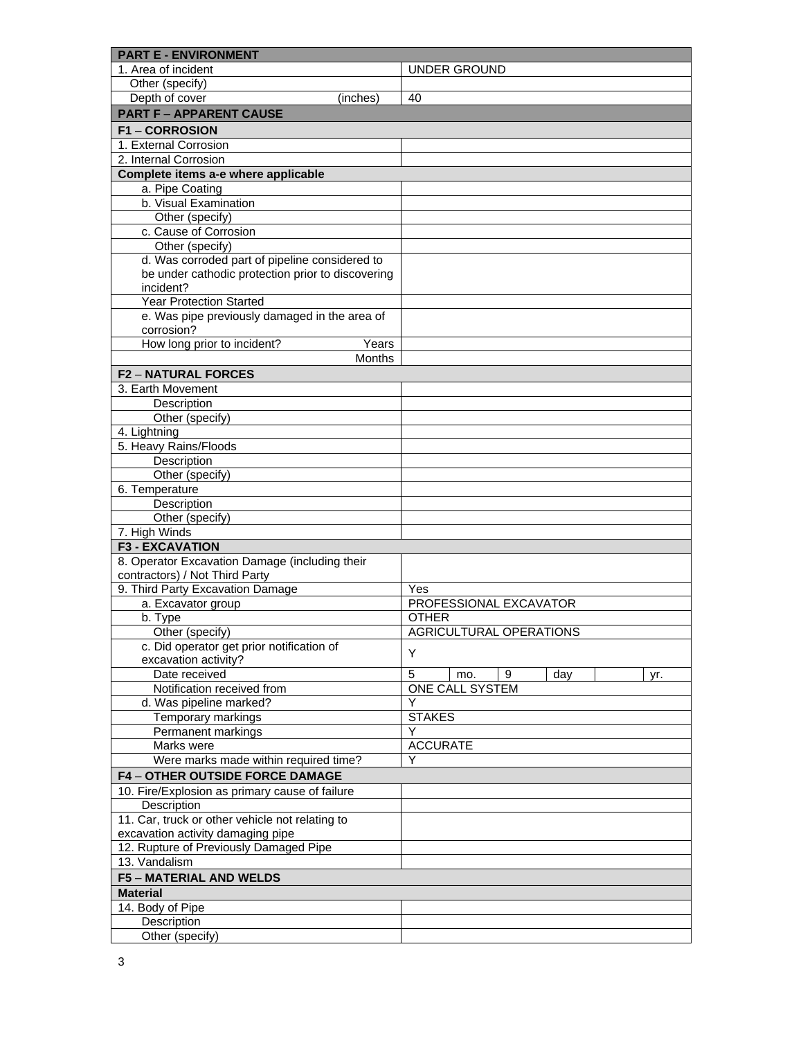| <b>PART E - ENVIRONMENT</b>                       |                                          |  |  |  |  |  |
|---------------------------------------------------|------------------------------------------|--|--|--|--|--|
| 1. Area of incident                               | <b>UNDER GROUND</b>                      |  |  |  |  |  |
| Other (specify)                                   |                                          |  |  |  |  |  |
| Depth of cover<br>(inches)                        | 40                                       |  |  |  |  |  |
| <b>PART F - APPARENT CAUSE</b>                    |                                          |  |  |  |  |  |
| <b>F1-CORROSION</b>                               |                                          |  |  |  |  |  |
| 1. External Corrosion                             |                                          |  |  |  |  |  |
| 2. Internal Corrosion                             |                                          |  |  |  |  |  |
| Complete items a-e where applicable               |                                          |  |  |  |  |  |
| a. Pipe Coating                                   |                                          |  |  |  |  |  |
| b. Visual Examination                             |                                          |  |  |  |  |  |
| Other (specify)                                   |                                          |  |  |  |  |  |
| c. Cause of Corrosion                             |                                          |  |  |  |  |  |
| Other (specify)                                   |                                          |  |  |  |  |  |
| d. Was corroded part of pipeline considered to    |                                          |  |  |  |  |  |
| be under cathodic protection prior to discovering |                                          |  |  |  |  |  |
| incident?<br><b>Year Protection Started</b>       |                                          |  |  |  |  |  |
| e. Was pipe previously damaged in the area of     |                                          |  |  |  |  |  |
| corrosion?                                        |                                          |  |  |  |  |  |
| How long prior to incident?<br>Years              |                                          |  |  |  |  |  |
| <b>Months</b>                                     |                                          |  |  |  |  |  |
| <b>F2 - NATURAL FORCES</b>                        |                                          |  |  |  |  |  |
| 3. Earth Movement                                 |                                          |  |  |  |  |  |
| Description                                       |                                          |  |  |  |  |  |
| Other (specify)                                   |                                          |  |  |  |  |  |
| 4. Lightning                                      |                                          |  |  |  |  |  |
| 5. Heavy Rains/Floods                             |                                          |  |  |  |  |  |
| Description                                       |                                          |  |  |  |  |  |
| Other (specify)                                   |                                          |  |  |  |  |  |
| 6. Temperature                                    |                                          |  |  |  |  |  |
| Description                                       |                                          |  |  |  |  |  |
| Other (specify)                                   |                                          |  |  |  |  |  |
| 7. High Winds                                     |                                          |  |  |  |  |  |
| <b>F3 - EXCAVATION</b>                            |                                          |  |  |  |  |  |
| 8. Operator Excavation Damage (including their    |                                          |  |  |  |  |  |
| contractors) / Not Third Party                    |                                          |  |  |  |  |  |
| 9. Third Party Excavation Damage                  | Yes                                      |  |  |  |  |  |
| a. Excavator group                                | PROFESSIONAL EXCAVATOR                   |  |  |  |  |  |
| $\overline{b}$ . Type                             | <b>OTHER</b>                             |  |  |  |  |  |
| Other (specify)                                   | AGRICULTURAL OPERATIONS                  |  |  |  |  |  |
| c. Did operator get prior notification of         | Y                                        |  |  |  |  |  |
| excavation activity?                              |                                          |  |  |  |  |  |
| Date received                                     | $\overline{5}$<br>9<br>day<br>mo.<br>yr. |  |  |  |  |  |
| Notification received from                        | <b>ONE CALL SYSTEM</b>                   |  |  |  |  |  |
| d. Was pipeline marked?                           | Y                                        |  |  |  |  |  |
| Temporary markings                                | <b>STAKES</b>                            |  |  |  |  |  |
| Permanent markings                                | Y                                        |  |  |  |  |  |
| Marks were                                        | <b>ACCURATE</b>                          |  |  |  |  |  |
| Were marks made within required time?             | Y                                        |  |  |  |  |  |
| <b>F4-OTHER OUTSIDE FORCE DAMAGE</b>              |                                          |  |  |  |  |  |
| 10. Fire/Explosion as primary cause of failure    |                                          |  |  |  |  |  |
| Description                                       |                                          |  |  |  |  |  |
| 11. Car, truck or other vehicle not relating to   |                                          |  |  |  |  |  |
| excavation activity damaging pipe                 |                                          |  |  |  |  |  |
| 12. Rupture of Previously Damaged Pipe            |                                          |  |  |  |  |  |
| 13. Vandalism                                     |                                          |  |  |  |  |  |
| <b>F5 - MATERIAL AND WELDS</b>                    |                                          |  |  |  |  |  |
| <b>Material</b>                                   |                                          |  |  |  |  |  |
| 14. Body of Pipe                                  |                                          |  |  |  |  |  |
| Description                                       |                                          |  |  |  |  |  |
| Other (specify)                                   |                                          |  |  |  |  |  |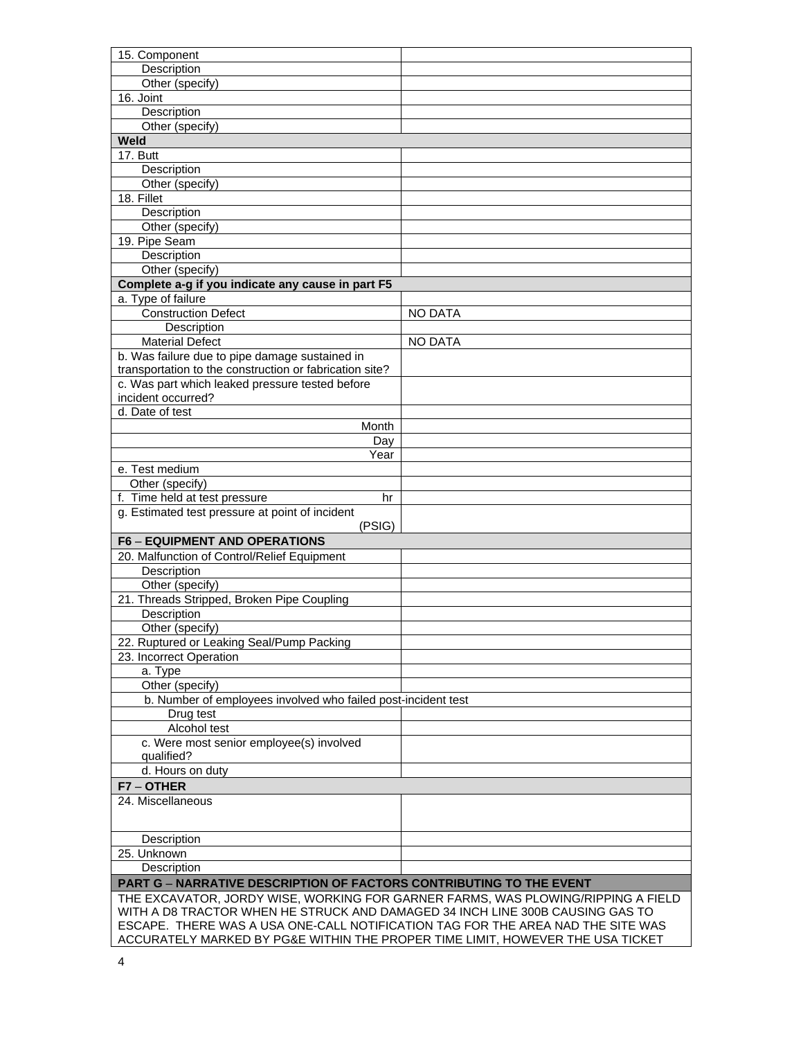| 15. Component                                                                                                                                                     |                |  |  |  |  |  |
|-------------------------------------------------------------------------------------------------------------------------------------------------------------------|----------------|--|--|--|--|--|
| Description                                                                                                                                                       |                |  |  |  |  |  |
| Other (specify)                                                                                                                                                   |                |  |  |  |  |  |
| 16. Joint                                                                                                                                                         |                |  |  |  |  |  |
| Description                                                                                                                                                       |                |  |  |  |  |  |
| Other (specify)                                                                                                                                                   |                |  |  |  |  |  |
| Weld                                                                                                                                                              |                |  |  |  |  |  |
| 17. Butt                                                                                                                                                          |                |  |  |  |  |  |
| Description                                                                                                                                                       |                |  |  |  |  |  |
| Other (specify)                                                                                                                                                   |                |  |  |  |  |  |
| 18. Fillet                                                                                                                                                        |                |  |  |  |  |  |
| Description                                                                                                                                                       |                |  |  |  |  |  |
| Other (specify)                                                                                                                                                   |                |  |  |  |  |  |
| 19. Pipe Seam                                                                                                                                                     |                |  |  |  |  |  |
| Description                                                                                                                                                       |                |  |  |  |  |  |
| Other (specify)                                                                                                                                                   |                |  |  |  |  |  |
| Complete a-g if you indicate any cause in part F5                                                                                                                 |                |  |  |  |  |  |
| a. Type of failure                                                                                                                                                |                |  |  |  |  |  |
| <b>Construction Defect</b>                                                                                                                                        | <b>NO DATA</b> |  |  |  |  |  |
| Description                                                                                                                                                       |                |  |  |  |  |  |
| <b>Material Defect</b>                                                                                                                                            | <b>NO DATA</b> |  |  |  |  |  |
| b. Was failure due to pipe damage sustained in                                                                                                                    |                |  |  |  |  |  |
| transportation to the construction or fabrication site?                                                                                                           |                |  |  |  |  |  |
| c. Was part which leaked pressure tested before                                                                                                                   |                |  |  |  |  |  |
| incident occurred?                                                                                                                                                |                |  |  |  |  |  |
| d. Date of test                                                                                                                                                   |                |  |  |  |  |  |
| Month                                                                                                                                                             |                |  |  |  |  |  |
| Day                                                                                                                                                               |                |  |  |  |  |  |
| Year                                                                                                                                                              |                |  |  |  |  |  |
| e. Test medium                                                                                                                                                    |                |  |  |  |  |  |
| Other (specify)                                                                                                                                                   |                |  |  |  |  |  |
| f. Time held at test pressure<br>hr                                                                                                                               |                |  |  |  |  |  |
| g. Estimated test pressure at point of incident<br>(PSIG)                                                                                                         |                |  |  |  |  |  |
| <b>F6 - EQUIPMENT AND OPERATIONS</b>                                                                                                                              |                |  |  |  |  |  |
| 20. Malfunction of Control/Relief Equipment                                                                                                                       |                |  |  |  |  |  |
| Description                                                                                                                                                       |                |  |  |  |  |  |
| Other (specify)                                                                                                                                                   |                |  |  |  |  |  |
| 21. Threads Stripped, Broken Pipe Coupling                                                                                                                        |                |  |  |  |  |  |
| Description                                                                                                                                                       |                |  |  |  |  |  |
| Other (specify)                                                                                                                                                   |                |  |  |  |  |  |
| 22. Ruptured or Leaking Seal/Pump Packing                                                                                                                         |                |  |  |  |  |  |
| 23. Incorrect Operation                                                                                                                                           |                |  |  |  |  |  |
| a. Type                                                                                                                                                           |                |  |  |  |  |  |
| Other (specify)                                                                                                                                                   |                |  |  |  |  |  |
| b. Number of employees involved who failed post-incident test                                                                                                     |                |  |  |  |  |  |
| Drug test                                                                                                                                                         |                |  |  |  |  |  |
|                                                                                                                                                                   |                |  |  |  |  |  |
| Alcohol test<br>c. Were most senior employee(s) involved                                                                                                          |                |  |  |  |  |  |
| qualified?                                                                                                                                                        |                |  |  |  |  |  |
| d. Hours on duty                                                                                                                                                  |                |  |  |  |  |  |
| F7-OTHER                                                                                                                                                          |                |  |  |  |  |  |
| 24. Miscellaneous                                                                                                                                                 |                |  |  |  |  |  |
|                                                                                                                                                                   |                |  |  |  |  |  |
| Description                                                                                                                                                       |                |  |  |  |  |  |
| 25. Unknown                                                                                                                                                       |                |  |  |  |  |  |
| Description                                                                                                                                                       |                |  |  |  |  |  |
|                                                                                                                                                                   |                |  |  |  |  |  |
| <b>PART G - NARRATIVE DESCRIPTION OF FACTORS CONTRIBUTING TO THE EVENT</b>                                                                                        |                |  |  |  |  |  |
| THE EXCAVATOR, JORDY WISE, WORKING FOR GARNER FARMS, WAS PLOWING/RIPPING A FIELD<br>WITH A D8 TRACTOR WHEN HE STRUCK AND DAMAGED 34 INCH LINE 300B CAUSING GAS TO |                |  |  |  |  |  |
| ESCAPE. THERE WAS A USA ONE-CALL NOTIFICATION TAG FOR THE AREA NAD THE SITE WAS                                                                                   |                |  |  |  |  |  |
|                                                                                                                                                                   |                |  |  |  |  |  |
| ACCURATELY MARKED BY PG&E WITHIN THE PROPER TIME LIMIT, HOWEVER THE USA TICKET                                                                                    |                |  |  |  |  |  |